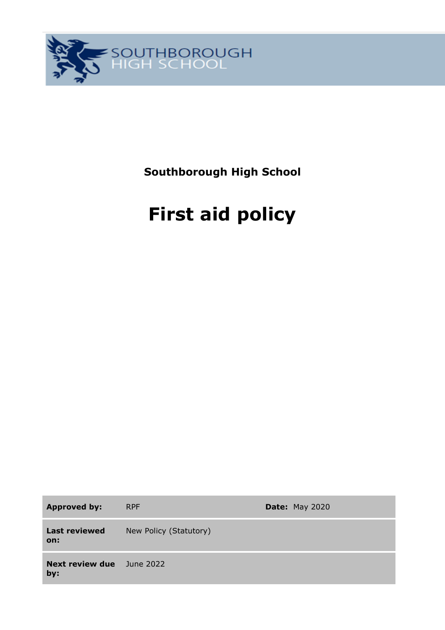

**Southborough High School**

# **First aid policy**

**Approved by:** RPF **Date:** May 2020 **Last reviewed on:** New Policy (Statutory) **Next review due**  June 2022**by:**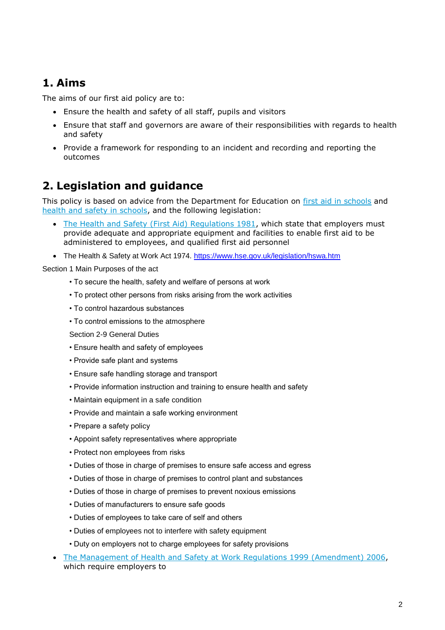## **1. Aims**

The aims of our first aid policy are to:

- Ensure the health and safety of all staff, pupils and visitors
- Ensure that staff and governors are aware of their responsibilities with regards to health and safety
- Provide a framework for responding to an incident and recording and reporting the outcomes

## **2. Legislation and guidance**

This policy is based on advice from the Department for Education on [first aid in schools](https://www.gov.uk/government/publications/first-aid-in-schools) and [health and safety in schools,](https://www.gov.uk/government/publications/health-and-safety-advice-for-schools) and the following legislation:

- [The Health and Safety \(First Aid\) Regulations 1981,](http://www.legislation.gov.uk/uksi/1981/917/regulation/3/made) which state that employers must provide adequate and appropriate equipment and facilities to enable first aid to be administered to employees, and qualified first aid personnel
- The Health & Safety at Work Act 1974. <https://www.hse.gov.uk/legislation/hswa.htm>

Section 1 Main Purposes of the act

- To secure the health, safety and welfare of persons at work
- To protect other persons from risks arising from the work activities
- To control hazardous substances
- To control emissions to the atmosphere

Section 2-9 General Duties

- Ensure health and safety of employees
- Provide safe plant and systems
- Ensure safe handling storage and transport
- Provide information instruction and training to ensure health and safety
- Maintain equipment in a safe condition
- Provide and maintain a safe working environment
- Prepare a safety policy
- Appoint safety representatives where appropriate
- Protect non employees from risks
- Duties of those in charge of premises to ensure safe access and egress
- Duties of those in charge of premises to control plant and substances
- Duties of those in charge of premises to prevent noxious emissions
- Duties of manufacturers to ensure safe goods
- Duties of employees to take care of self and others
- Duties of employees not to interfere with safety equipment
- Duty on employers not to charge employees for safety provisions
- [The Management of Health and Safety at Work Regulations 1999](http://www.legislation.gov.uk/uksi/1999/3242/contents/made) (Amendment) 2006, which require employers to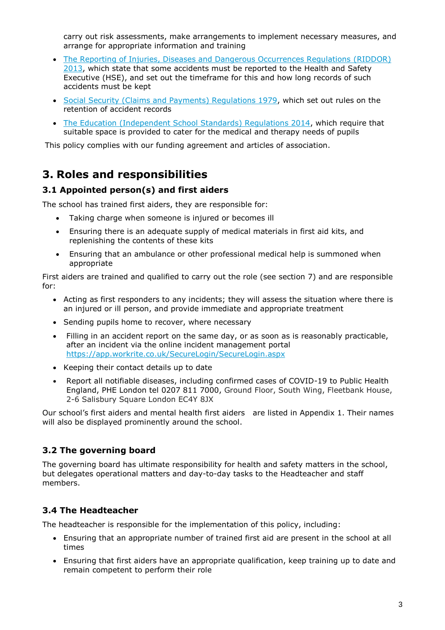carry out risk assessments, make arrangements to implement necessary measures, and arrange for appropriate information and training

- [The Reporting of Injuries, Diseases and Dangerous Occurrences Regulations](http://www.legislation.gov.uk/uksi/2013/1471/schedule/1/paragraph/1/made) (RIDDOR) [2013,](http://www.legislation.gov.uk/uksi/2013/1471/schedule/1/paragraph/1/made) which state that some accidents must be reported to the Health and Safety Executive (HSE), and set out the timeframe for this and how long records of such accidents must be kept
- [Social Security \(Claims and Payments\) Regulations 1979,](http://www.legislation.gov.uk/uksi/1979/628) which set out rules on the retention of accident records
- The Education [\(Independent School Standards\) Regulations 2014,](http://www.legislation.gov.uk/uksi/2014/3283/schedule/made) which require that suitable space is provided to cater for the medical and therapy needs of pupils

This policy complies with our funding agreement and articles of association.

## **3. Roles and responsibilities**

#### **3.1 Appointed person(s) and first aiders**

The school has trained first aiders, they are responsible for:

- Taking charge when someone is injured or becomes ill
- Ensuring there is an adequate supply of medical materials in first aid kits, and replenishing the contents of these kits
- Ensuring that an ambulance or other professional medical help is summoned when appropriate

First aiders are trained and qualified to carry out the role (see section 7) and are responsible for:

- Acting as first responders to any incidents; they will assess the situation where there is an injured or ill person, and provide immediate and appropriate treatment
- Sending pupils home to recover, where necessary
- Filling in an accident report on the same day, or as soon as is reasonably practicable, after an incident via the online incident management portal <https://app.workrite.co.uk/SecureLogin/SecureLogin.aspx>
- Keeping their contact details up to date
- Report all notifiable diseases, including confirmed cases of COVID-19 to Public Health England, PHE London tel 0207 811 7000, Ground Floor, South Wing, Fleetbank House, 2-6 Salisbury Square London EC4Y 8JX

Our school's first aiders and mental health first aiders are listed in Appendix 1. Their names will also be displayed prominently around the school.

#### **3.2 The governing board**

The governing board has ultimate responsibility for health and safety matters in the school, but delegates operational matters and day-to-day tasks to the Headteacher and staff members.

## **3.4 The Headteacher**

The headteacher is responsible for the implementation of this policy, including:

- Ensuring that an appropriate number of trained first aid are present in the school at all times
- Ensuring that first aiders have an appropriate qualification, keep training up to date and remain competent to perform their role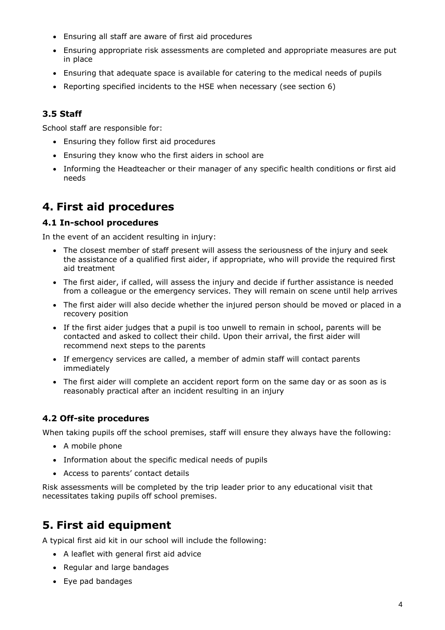- Ensuring all staff are aware of first aid procedures
- Ensuring appropriate risk assessments are completed and appropriate measures are put in place
- Ensuring that adequate space is available for catering to the medical needs of pupils
- Reporting specified incidents to the HSE when necessary (see section 6)

#### **3.5 Staff**

School staff are responsible for:

- Ensuring they follow first aid procedures
- Ensuring they know who the first aiders in school are
- Informing the Headteacher or their manager of any specific health conditions or first aid needs

## **4. First aid procedures**

#### **4.1 In-school procedures**

In the event of an accident resulting in injury:

- The closest member of staff present will assess the seriousness of the injury and seek the assistance of a qualified first aider, if appropriate, who will provide the required first aid treatment
- The first aider, if called, will assess the injury and decide if further assistance is needed from a colleague or the emergency services. They will remain on scene until help arrives
- The first aider will also decide whether the injured person should be moved or placed in a recovery position
- If the first aider judges that a pupil is too unwell to remain in school, parents will be contacted and asked to collect their child. Upon their arrival, the first aider will recommend next steps to the parents
- If emergency services are called, a member of admin staff will contact parents immediately
- The first aider will complete an accident report form on the same day or as soon as is reasonably practical after an incident resulting in an injury

## **4.2 Off-site procedures**

When taking pupils off the school premises, staff will ensure they always have the following:

- A mobile phone
- Information about the specific medical needs of pupils
- Access to parents' contact details

Risk assessments will be completed by the trip leader prior to any educational visit that necessitates taking pupils off school premises.

## **5. First aid equipment**

A typical first aid kit in our school will include the following:

- A leaflet with general first aid advice
- Regular and large bandages
- Eye pad bandages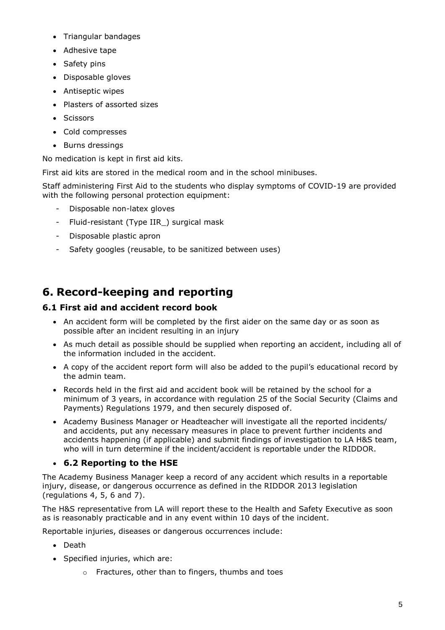- Triangular bandages
- Adhesive tape
- Safety pins
- Disposable gloves
- Antiseptic wipes
- Plasters of assorted sizes
- Scissors
- Cold compresses
- Burns dressings

No medication is kept in first aid kits.

First aid kits are stored in the medical room and in the school minibuses.

Staff administering First Aid to the students who display symptoms of COVID-19 are provided with the following personal protection equipment:

- Disposable non-latex gloves
- Fluid-resistant (Type IIR\_) surgical mask
- Disposable plastic apron
- Safety googles (reusable, to be sanitized between uses)

## **6. Record-keeping and reporting**

#### **6.1 First aid and accident record book**

- An accident form will be completed by the first aider on the same day or as soon as possible after an incident resulting in an injury
- As much detail as possible should be supplied when reporting an accident, including all of the information included in the accident.
- A copy of the accident report form will also be added to the pupil's educational record by the admin team.
- Records held in the first aid and accident book will be retained by the school for a minimum of 3 years, in accordance with regulation 25 of the Social Security (Claims and Payments) Regulations 1979, and then securely disposed of.
- Academy Business Manager or Headteacher will investigate all the reported incidents/ and accidents, put any necessary measures in place to prevent further incidents and accidents happening (if applicable) and submit findings of investigation to LA H&S team, who will in turn determine if the incident/accident is reportable under the RIDDOR.

## **6.2 Reporting to the HSE**

The Academy Business Manager keep a record of any accident which results in a reportable injury, disease, or dangerous occurrence as defined in the RIDDOR 2013 legislation (regulations 4, 5, 6 and 7).

The H&S representative from LA will report these to the Health and Safety Executive as soon as is reasonably practicable and in any event within 10 days of the incident.

Reportable injuries, diseases or dangerous occurrences include:

- Death
- Specified injuries, which are:
	- o Fractures, other than to fingers, thumbs and toes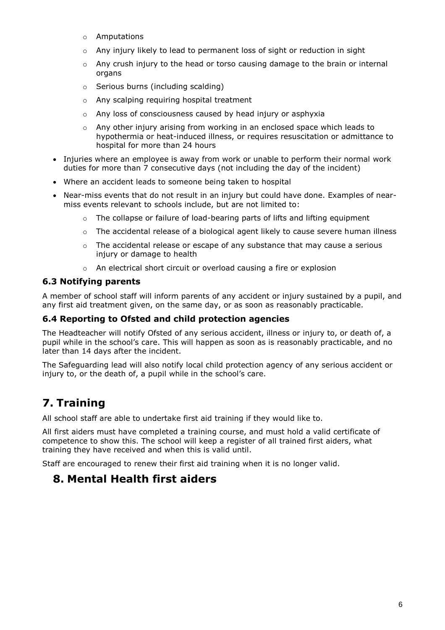- o Amputations
- $\circ$  Any injury likely to lead to permanent loss of sight or reduction in sight
- o Any crush injury to the head or torso causing damage to the brain or internal organs
- o Serious burns (including scalding)
- o Any scalping requiring hospital treatment
- o Any loss of consciousness caused by head injury or asphyxia
- $\circ$  Any other injury arising from working in an enclosed space which leads to hypothermia or heat-induced illness, or requires resuscitation or admittance to hospital for more than 24 hours
- Injuries where an employee is away from work or unable to perform their normal work duties for more than 7 consecutive days (not including the day of the incident)
- Where an accident leads to someone being taken to hospital
- Near-miss events that do not result in an injury but could have done. Examples of nearmiss events relevant to schools include, but are not limited to:
	- $\circ$  The collapse or failure of load-bearing parts of lifts and lifting equipment
	- $\circ$  The accidental release of a biological agent likely to cause severe human illness
	- The accidental release or escape of any substance that may cause a serious injury or damage to health
	- o An electrical short circuit or overload causing a fire or explosion

#### **6.3 Notifying parents**

A member of school staff will inform parents of any accident or injury sustained by a pupil, and any first aid treatment given, on the same day, or as soon as reasonably practicable.

#### **6.4 Reporting to Ofsted and child protection agencies**

The Headteacher will notify Ofsted of any serious accident, illness or injury to, or death of, a pupil while in the school's care. This will happen as soon as is reasonably practicable, and no later than 14 days after the incident.

The Safeguarding lead will also notify local child protection agency of any serious accident or injury to, or the death of, a pupil while in the school's care.

## **7. Training**

All school staff are able to undertake first aid training if they would like to.

All first aiders must have completed a training course, and must hold a valid certificate of competence to show this. The school will keep a register of all trained first aiders, what training they have received and when this is valid until.

Staff are encouraged to renew their first aid training when it is no longer valid.

## **8. Mental Health first aiders**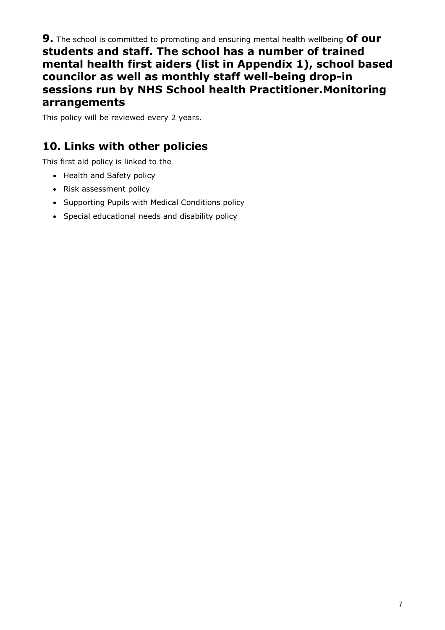**9.** The school is committed to promoting and ensuring mental health wellbeing **of our students and staff. The school has a number of trained mental health first aiders (list in Appendix 1), school based councilor as well as monthly staff well-being drop-in sessions run by NHS School health Practitioner.Monitoring arrangements**

This policy will be reviewed every 2 years.

## **10. Links with other policies**

This first aid policy is linked to the

- Health and Safety policy
- Risk assessment policy
- Supporting Pupils with Medical Conditions policy
- Special educational needs and disability policy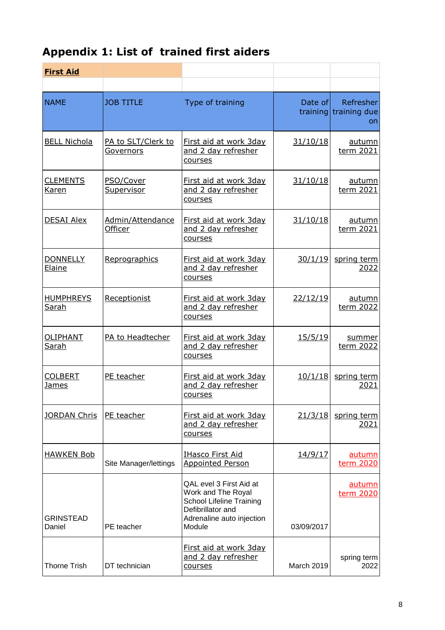# **Appendix 1: List of trained first aiders**

| <b>First Aid</b>                 |                                    |                                                                                                                                              |                   |                                    |
|----------------------------------|------------------------------------|----------------------------------------------------------------------------------------------------------------------------------------------|-------------------|------------------------------------|
| <b>NAME</b>                      | <b>JOB TITLE</b>                   | Type of training                                                                                                                             | Date of           | Refresher<br>training training due |
|                                  |                                    |                                                                                                                                              |                   | on                                 |
| <b>BELL Nichola</b>              | PA to SLT/Clerk to<br>Governors    | First aid at work 3day<br>and 2 day refresher<br>courses                                                                                     | 31/10/18          | autumn<br>term 2021                |
| <b>CLEMENTS</b><br>Karen         | PSO/Cover<br>Supervisor            | First aid at work 3day<br>and 2 day refresher<br>courses                                                                                     | 31/10/18          | <u>autumn</u><br>term 2021         |
| <b>DESAI Alex</b>                | Admin/Attendance<br><b>Officer</b> | First aid at work 3day<br>and 2 day refresher<br>courses                                                                                     | 31/10/18          | autumn<br>term 2021                |
| <b>DONNELLY</b><br>Elaine        | Reprographics                      | First aid at work 3day<br>and 2 day refresher<br>courses                                                                                     | 30/1/19           | spring term<br>2022                |
| <u>HUMPHREYS</u><br><u>Sarah</u> | Receptionist                       | First aid at work 3day<br>and 2 day refresher<br>courses                                                                                     | 22/12/19          | autumn<br>term 2022                |
| OLIPHANT<br><u>Sarah</u>         | PA to Headtecher                   | First aid at work 3day<br>and 2 day refresher<br>courses                                                                                     | 15/5/19           | summer<br>term 2022                |
| <b>COLBERT</b><br><u>James</u>   | PE teacher                         | First aid at work 3day<br>and 2 day refresher<br>courses                                                                                     | 10/1/18           | spring term<br>2021                |
| <u>JORDAN Chris</u>              | PE teacher                         | First aid at work 3day<br>and 2 day refresher<br>courses                                                                                     | 21/3/18           | spring term<br>2021                |
| <b>HAWKEN Bob</b>                | Site Manager/lettings              | <b>IHasco First Aid</b><br><b>Appointed Person</b>                                                                                           | 14/9/17           | autumn<br>term 2020                |
| <b>GRINSTEAD</b><br>Daniel       | PE teacher                         | QAL evel 3 First Aid at<br>Work and The Royal<br><b>School Lifeline Training</b><br>Defibrillator and<br>Adrenaline auto injection<br>Module | 03/09/2017        | <u>autumn</u><br>term 2020         |
| <b>Thorne Trish</b>              | DT technician                      | First aid at work 3day<br>and 2 day refresher<br>courses                                                                                     | <b>March 2019</b> | spring term<br>2022                |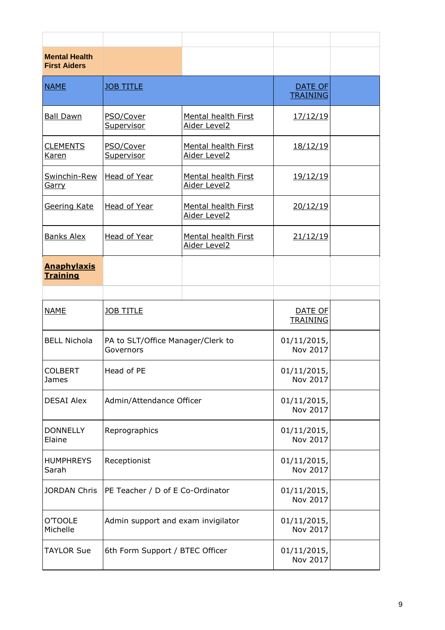| <b>Mental Health</b><br><b>First Aiders</b> |                                                |                                            |                                   |  |
|---------------------------------------------|------------------------------------------------|--------------------------------------------|-----------------------------------|--|
| <b>NAME</b>                                 | <b>JOB TITLE</b>                               |                                            | <b>DATE OF</b><br><b>TRAINING</b> |  |
| <b>Ball Dawn</b>                            | PSO/Cover<br>Supervisor                        | <b>Mental health First</b><br>Aider Level2 | <u>17/12/19</u>                   |  |
| <b>CLEMENTS</b><br>Karen                    | PSO/Cover<br><u>Supervisor</u>                 | <b>Mental health First</b><br>Aider Level2 | <u>18/12/19</u>                   |  |
| Swinchin-Rew<br><u>Garry</u>                | Head of Year                                   | <b>Mental health First</b><br>Aider Level2 | 19/12/19                          |  |
| Geering Kate                                | Head of Year                                   | <b>Mental health First</b><br>Aider Level2 | 20/12/19                          |  |
| <b>Banks Alex</b>                           | Head of Year                                   | <b>Mental health First</b><br>Aider Level2 | 21/12/19                          |  |
| <b>Anaphylaxis</b><br><b>Training</b>       |                                                |                                            |                                   |  |
|                                             |                                                |                                            |                                   |  |
| <b>NAME</b>                                 | <b>JOB TITLE</b>                               |                                            | DATE OF<br><b>TRAINING</b>        |  |
| <b>BELL Nichola</b>                         | PA to SLT/Office Manager/Clerk to<br>Governors |                                            | 01/11/2015,<br>Nov 2017           |  |
| <b>COLBERT</b><br>James                     | Head of PE                                     |                                            | 01/11/2015,<br>Nov 2017           |  |
| <b>DESAI Alex</b>                           | Admin/Attendance Officer                       |                                            | 01/11/2015,<br>Nov 2017           |  |
| <b>DONNELLY</b><br>Elaine                   | Reprographics                                  |                                            | $01/11/2015$ ,<br>Nov 2017        |  |
| <b>HUMPHREYS</b><br>Sarah                   | Receptionist                                   |                                            | 01/11/2015,<br>Nov 2017           |  |
| <b>JORDAN Chris</b>                         | PE Teacher / D of E Co-Ordinator               |                                            | 01/11/2015,<br>Nov 2017           |  |
| <b>O'TOOLE</b><br>Michelle                  | Admin support and exam invigilator             |                                            | 01/11/2015,<br>Nov 2017           |  |
| <b>TAYLOR Sue</b>                           | 6th Form Support / BTEC Officer                |                                            | 01/11/2015,<br>Nov 2017           |  |